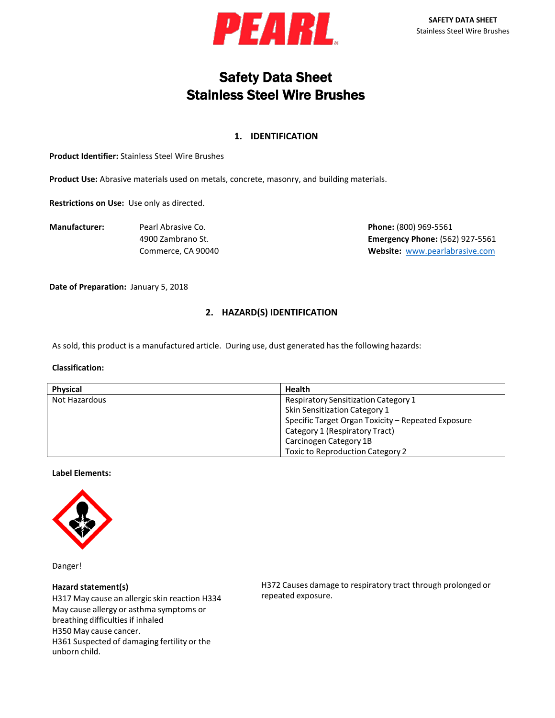

# Safety Data Sheet Stainless Steel Wire Brushes

## **1. IDENTIFICATION**

**Product Identifier:** Stainless Steel Wire Brushes

**Product Use:** Abrasive materials used on metals, concrete, masonry, and building materials.

**Restrictions on Use:** Use only as directed.

**Manufacturer:** Pearl Abrasive Co. **Phone:** (800) 969-5561 4900 Zambrano St. **Emergency Phone:** (562) 927-5561 Commerce, CA 90040 **Website:** [www.pearlabrasive.com](http://www.pearlabrasive.com/)

**Date of Preparation:** January 5, 2018

# **2. HAZARD(S) IDENTIFICATION**

As sold, this product is a manufactured article. During use, dust generated has the following hazards:

#### **Classification:**

| <b>Physical</b> | <b>Health</b>                                      |
|-----------------|----------------------------------------------------|
| Not Hazardous   | <b>Respiratory Sensitization Category 1</b>        |
|                 | Skin Sensitization Category 1                      |
|                 | Specific Target Organ Toxicity - Repeated Exposure |
|                 | Category 1 (Respiratory Tract)                     |
|                 | Carcinogen Category 1B                             |
|                 | <b>Toxic to Reproduction Category 2</b>            |

## **Label Elements:**



Danger!

#### **Hazard statement(s)**

H317 May cause an allergic skin reaction H334 May cause allergy or asthma symptoms or breathing difficulties if inhaled H350 May cause cancer. H361 Suspected of damaging fertility or the unborn child.

H372 Causes damage to respiratory tract through prolonged or repeated exposure.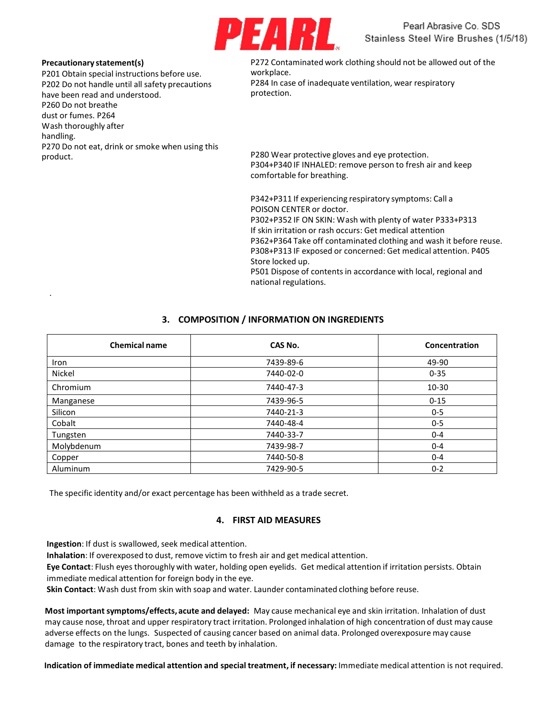

#### **Precautionary statement(s)**

.

P201 Obtain special instructions before use. P202 Do not handle until all safety precautions have been read and understood. P260 Do not breathe dust or fumes. P264 Wash thoroughly after handling. P270 Do not eat, drink or smoke when using this product.

P272 Contaminated work clothing should not be allowed out of the workplace. P284 In case of inadequate ventilation, wear respiratory protection.

P280 Wear protective gloves and eye protection. P304+P340 IF INHALED: remove person to fresh air and keep comfortable for breathing.

P342+P311 If experiencing respiratory symptoms: Call a POISON CENTER or doctor.

P302+P352 IF ON SKIN: Wash with plenty of water P333+P313 If skin irritation or rash occurs: Get medical attention P362+P364 Take off contaminated clothing and wash it before reuse. P308+P313 IF exposed or concerned: Get medical attention. P405 Store locked up. P501 Dispose of contents in accordance with local, regional and

## **3. COMPOSITION / INFORMATION ON INGREDIENTS**

national regulations.

| <b>Chemical name</b> | CAS No.   | Concentration |
|----------------------|-----------|---------------|
| Iron                 | 7439-89-6 | 49-90         |
| Nickel               | 7440-02-0 | $0 - 35$      |
| Chromium             | 7440-47-3 | 10-30         |
| Manganese            | 7439-96-5 | $0 - 15$      |
| Silicon              | 7440-21-3 | $0 - 5$       |
| Cobalt               | 7440-48-4 | $0 - 5$       |
| Tungsten             | 7440-33-7 | $0 - 4$       |
| Molybdenum           | 7439-98-7 | $0 - 4$       |
| Copper               | 7440-50-8 | $0 - 4$       |
| Aluminum             | 7429-90-5 | $0 - 2$       |

The specific identity and/or exact percentage has been withheld as a trade secret.

## **4. FIRST AID MEASURES**

**Ingestion**: If dust is swallowed, seek medical attention.

**Inhalation**: If overexposed to dust, remove victim to fresh air and get medical attention.

**Eye Contact**: Flush eyes thoroughly with water, holding open eyelids. Get medical attention if irritation persists. Obtain immediate medical attention for foreign body in the eye.

**Skin Contact**: Wash dust from skin with soap and water. Launder contaminated clothing before reuse.

**Most importantsymptoms/effects, acute and delayed:** May cause mechanical eye and skin irritation. Inhalation of dust may cause nose, throat and upper respiratory tract irritation. Prolonged inhalation of high concentration of dust may cause adverse effects on the lungs. Suspected of causing cancer based on animal data. Prolonged overexposure may cause damage to the respiratory tract, bones and teeth by inhalation.

**Indication of immediate medical attention and special treatment, if necessary:** Immediate medical attention is not required.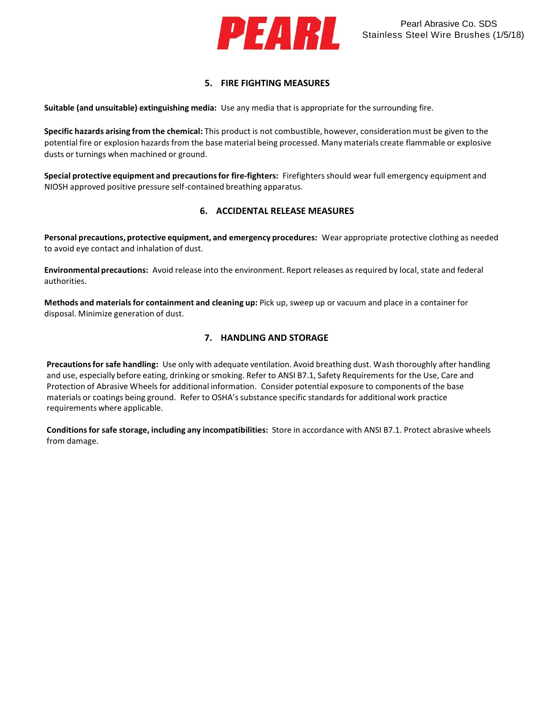

# **5. FIRE FIGHTING MEASURES**

**Suitable (and unsuitable) extinguishing media:** Use any media that is appropriate for the surrounding fire.

**Specific hazards arising from the chemical:** This product is not combustible, however, consideration must be given to the potential fire or explosion hazards from the base material being processed. Many materials create flammable or explosive dusts or turnings when machined or ground.

**Special protective equipment and precautionsfor fire-fighters:** Firefightersshould wear full emergency equipment and NIOSH approved positive pressure self-contained breathing apparatus.

## **6. ACCIDENTAL RELEASE MEASURES**

**Personal precautions, protective equipment, and emergency procedures:** Wear appropriate protective clothing as needed to avoid eye contact and inhalation of dust.

**Environmental precautions:** Avoid release into the environment. Report releases as required by local, state and federal authorities.

**Methods and materialsfor containment and cleaning up:** Pick up, sweep up or vacuum and place in a container for disposal. Minimize generation of dust.

## **7. HANDLING AND STORAGE**

**Precautionsfor safe handling:** Use only with adequate ventilation. Avoid breathing dust. Wash thoroughly after handling and use, especially before eating, drinking or smoking. Refer to ANSI B7.1, Safety Requirements for the Use, Care and Protection of Abrasive Wheels for additional information. Consider potential exposure to components of the base materials or coatings being ground. Refer to OSHA's substance specific standards for additional work practice requirements where applicable.

**Conditionsfor safe storage, including any incompatibilities:** Store in accordance with ANSI B7.1. Protect abrasive wheels from damage.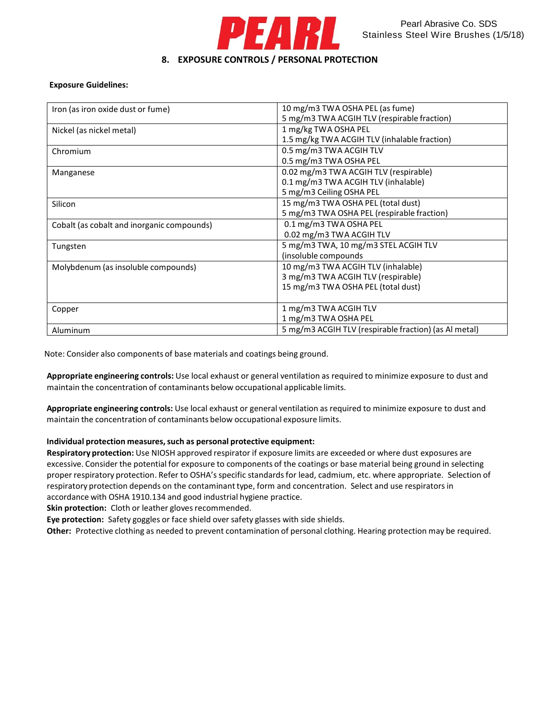

## **Exposure Guidelines:**

| Iron (as iron oxide dust or fume)          | 10 mg/m3 TWA OSHA PEL (as fume)                       |
|--------------------------------------------|-------------------------------------------------------|
|                                            | 5 mg/m3 TWA ACGIH TLV (respirable fraction)           |
| Nickel (as nickel metal)                   | 1 mg/kg TWA OSHA PEL                                  |
|                                            | 1.5 mg/kg TWA ACGIH TLV (inhalable fraction)          |
| Chromium                                   | 0.5 mg/m3 TWA ACGIH TLV                               |
|                                            | 0.5 mg/m3 TWA OSHA PEL                                |
| Manganese                                  | 0.02 mg/m3 TWA ACGIH TLV (respirable)                 |
|                                            | 0.1 mg/m3 TWA ACGIH TLV (inhalable)                   |
|                                            | 5 mg/m3 Ceiling OSHA PEL                              |
| Silicon                                    | 15 mg/m3 TWA OSHA PEL (total dust)                    |
|                                            | 5 mg/m3 TWA OSHA PEL (respirable fraction)            |
| Cobalt (as cobalt and inorganic compounds) | 0.1 mg/m3 TWA OSHA PEL                                |
|                                            | 0.02 mg/m3 TWA ACGIH TLV                              |
| Tungsten                                   | 5 mg/m3 TWA, 10 mg/m3 STEL ACGIH TLV                  |
|                                            | (insoluble compounds                                  |
| Molybdenum (as insoluble compounds)        | 10 mg/m3 TWA ACGIH TLV (inhalable)                    |
|                                            | 3 mg/m3 TWA ACGIH TLV (respirable)                    |
|                                            | 15 mg/m3 TWA OSHA PEL (total dust)                    |
|                                            |                                                       |
| Copper                                     | 1 mg/m3 TWA ACGIH TLV                                 |
|                                            | 1 mg/m3 TWA OSHA PEL                                  |
| Aluminum                                   | 5 mg/m3 ACGIH TLV (respirable fraction) (as Al metal) |

Note: Consider also components of base materials and coatings being ground.

**Appropriate engineering controls:** Use local exhaust or general ventilation as required to minimize exposure to dust and maintain the concentration of contaminants below occupational applicable limits.

**Appropriate engineering controls:** Use local exhaust or general ventilation as required to minimize exposure to dust and maintain the concentration of contaminants below occupational exposure limits.

## **Individual protection measures,such as personal protective equipment:**

**Respiratory protection:** Use NIOSH approved respirator if exposure limits are exceeded or where dust exposures are excessive. Consider the potential for exposure to components of the coatings or base material being ground in selecting proper respiratory protection. Refer to OSHA's specific standardsfor lead, cadmium, etc. where appropriate. Selection of respiratory protection depends on the contaminanttype, form and concentration. Select and use respiratorsin accordance with OSHA 1910.134 and good industrial hygiene practice.

**Skin protection:** Cloth or leather gloves recommended.

**Eye protection:** Safety goggles or face shield over safety glasses with side shields.

**Other:** Protective clothing as needed to prevent contamination of personal clothing. Hearing protection may be required.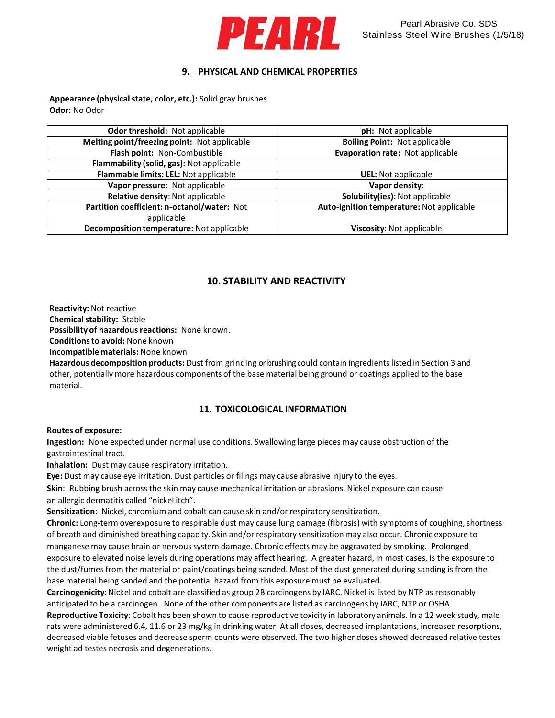

## **9. PHYSICAL AND CHEMICAL PROPERTIES**

**Appearance (physicalstate, color, etc.):** Solid gray brushes **Odor:** No Odor

| Odor threshold: Not applicable               | pH: Not applicable                        |
|----------------------------------------------|-------------------------------------------|
| Melting point/freezing point: Not applicable | <b>Boiling Point: Not applicable</b>      |
| Flash point: Non-Combustible                 | Evaporation rate: Not applicable          |
| Flammability (solid, gas): Not applicable    |                                           |
| Flammable limits: LEL: Not applicable        | <b>UEL:</b> Not applicable                |
| Vapor pressure: Not applicable               | Vapor density:                            |
| Relative density: Not applicable             | Solubility(ies): Not applicable           |
| Partition coefficient: n-octanol/water: Not  | Auto-ignition temperature: Not applicable |
| applicable                                   |                                           |
| Decomposition temperature: Not applicable    | Viscosity: Not applicable                 |
|                                              |                                           |

# **10. STABILITY AND REACTIVITY**

**Reactivity:** Not reactive

**Chemical stability: Stable** 

Possibility of hazardous reactions: None known.

**Conditionsto avoid:** None known

**Incompatible materials:** None known

**Hazardous decomposition products:** Dust from grinding or brushing could contain ingredientslisted in Section 3 and other, potentially more hazardous components of the base material being ground or coatings applied to the base material.

## **11. TOXICOLOGICAL INFORMATION**

#### **Routes of exposure:**

**Ingestion:** None expected under normal use conditions. Swallowing large pieces may cause obstruction of the gastrointestinal tract.

**Inhalation:** Dust may cause respiratory irritation.

**Eye:** Dust may cause eye irritation. Dust particles or filings may cause abrasive injury to the eyes.

**Skin**: Rubbing brush across the skin may cause mechanical irritation or abrasions. Nickel exposure can cause an allergic dermatitis called "nickel itch".

**Sensitization:** Nickel, chromium and cobalt can cause skin and/or respiratory sensitization.

Chronic: Long-term overexposure to respirable dust may cause lung damage (fibrosis) with symptoms of coughing, shortness of breath and diminished breathing capacity. Skin and/or respiratory sensitization may also occur. Chronic exposure to manganese may cause brain or nervous system damage. Chronic effects may be aggravated by smoking. Prolonged exposure to elevated noise levels during operations may affect hearing. A greater hazard, in most cases, is the exposure to the dust/fumes from the material or paint/coatings being sanded. Most of the dust generated during sanding is from the base material being sanded and the potential hazard from this exposure must be evaluated.

Carcinogenicity: Nickel and cobalt are classified as group 2B carcinogens by IARC. Nickel is listed by NTP as reasonably anticipated to be a carcinogen. None of the other components are listed as carcinogens by IARC, NTP or OSHA.

**Reproductive Toxicity:** Cobalt has been shown to cause reproductive toxicity in laboratory animals. In a 12 week study, male rats were administered 6.4, 11.6 or 23 mg/kg in drinking water. At all doses, decreased implantations, increased resorptions, decreased viable fetuses and decrease sperm counts were observed. The two higher doses showed decreased relative testes weight ad testes necrosis and degenerations.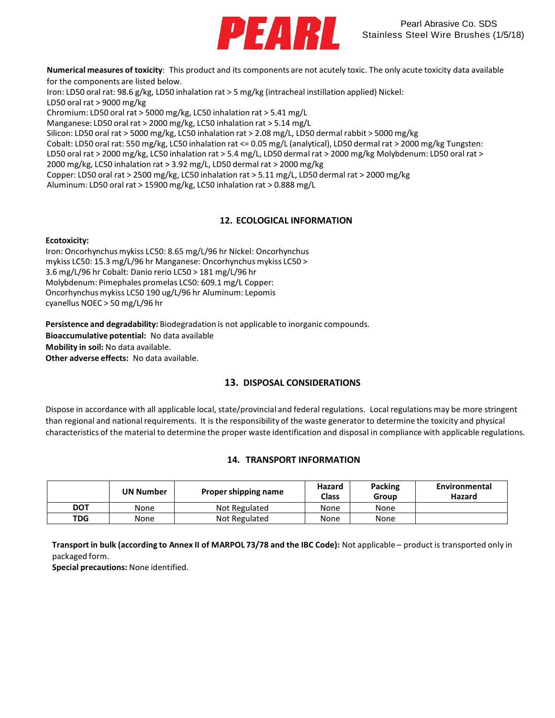

**Numerical measures of toxicity**: This product and its components are not acutely toxic. The only acute toxicity data available for the components are listed below.

Iron: LD50 oral rat: 98.6 g/kg, LD50 inhalation rat > 5 mg/kg (intracheal instillation applied) Nickel: LD50 oral rat > 9000 mg/kg

Chromium: LD50 oral rat > 5000 mg/kg, LC50 inhalation rat > 5.41 mg/L

Manganese: LD50 oral rat > 2000 mg/kg, LC50 inhalation rat > 5.14 mg/L

Silicon: LD50 oral rat > 5000 mg/kg, LC50 inhalation rat > 2.08 mg/L, LD50 dermal rabbit > 5000 mg/kg

Cobalt: LD50 oral rat: 550 mg/kg, LC50 inhalation rat <= 0.05 mg/L (analytical), LD50 dermal rat > 2000 mg/kg Tungsten:

LD50 oral rat > 2000 mg/kg, LC50 inhalation rat > 5.4 mg/L, LD50 dermal rat > 2000 mg/kg Molybdenum: LD50 oral rat > 2000 mg/kg, LC50 inhalation rat > 3.92 mg/L, LD50 dermal rat > 2000 mg/kg

Copper: LD50 oral rat > 2500 mg/kg, LC50 inhalation rat > 5.11 mg/L, LD50 dermal rat > 2000 mg/kg

Aluminum: LD50 oral rat > 15900 mg/kg, LC50 inhalation rat > 0.888 mg/L

# **12. ECOLOGICAL INFORMATION**

## **Ecotoxicity:**

Iron: Oncorhynchus mykiss LC50: 8.65 mg/L/96 hr Nickel: Oncorhynchus mykiss LC50: 15.3 mg/L/96 hr Manganese: Oncorhynchus mykiss LC50 > 3.6 mg/L/96 hr Cobalt: Danio rerio LC50 > 181 mg/L/96 hr Molybdenum: Pimephales promelas LC50: 609.1 mg/L Copper: Oncorhynchus mykiss LC50 190 ug/L/96 hr Aluminum: Lepomis cyanellus NOEC > 50 mg/L/96 hr

**Persistence and degradability:** Biodegradation is not applicable to inorganic compounds.

**Bioaccumulative potential:** No data available

**Mobility in soil:** No data available.

**Other adverse effects:** No data available.

## **13. DISPOSAL CONSIDERATIONS**

Dispose in accordance with all applicable local, state/provincial and federal regulations. Local regulations may be more stringent than regional and national requirements. It is the responsibility of the waste generator to determine the toxicity and physical characteristics of the material to determine the proper waste identification and disposal in compliance with applicable regulations.

## **14. TRANSPORT INFORMATION**

|            | <b>UN Number</b> | Proper shipping name | Hazard<br>Class | Packing<br>Group | Environmental<br>Hazard |
|------------|------------------|----------------------|-----------------|------------------|-------------------------|
| DOT        | None             | Not Regulated        | None            | None             |                         |
| <b>TDG</b> | None             | Not Regulated        | None            | None             |                         |

**Transport in bulk (according to Annex II of MARPOL 73/78 and the IBC Code):** Not applicable – product is transported only in packaged form.

**Special precautions:** None identified.